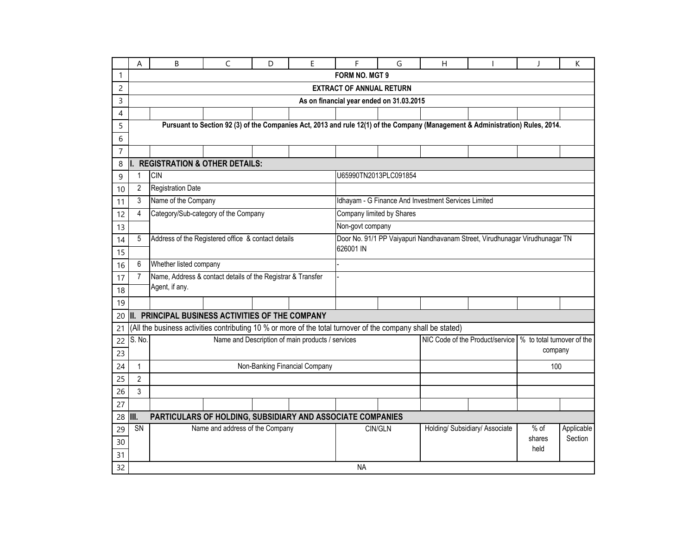|                | A                                                                     | B                                                                                                            | $\mathsf{C}$                    | D | E                                                | F                                                                                               | G       | H |                                                                                                                                | $\mathsf{I}$   | K          |  |  |  |
|----------------|-----------------------------------------------------------------------|--------------------------------------------------------------------------------------------------------------|---------------------------------|---|--------------------------------------------------|-------------------------------------------------------------------------------------------------|---------|---|--------------------------------------------------------------------------------------------------------------------------------|----------------|------------|--|--|--|
|                |                                                                       |                                                                                                              |                                 |   |                                                  | FORM NO. MGT 9                                                                                  |         |   |                                                                                                                                |                |            |  |  |  |
| $\overline{c}$ |                                                                       |                                                                                                              |                                 |   |                                                  | <b>EXTRACT OF ANNUAL RETURN</b>                                                                 |         |   |                                                                                                                                |                |            |  |  |  |
| 3              |                                                                       |                                                                                                              |                                 |   |                                                  | As on financial year ended on 31.03.2015                                                        |         |   |                                                                                                                                |                |            |  |  |  |
| 4              |                                                                       |                                                                                                              |                                 |   |                                                  |                                                                                                 |         |   |                                                                                                                                |                |            |  |  |  |
| 5              |                                                                       |                                                                                                              |                                 |   |                                                  |                                                                                                 |         |   | Pursuant to Section 92 (3) of the Companies Act, 2013 and rule 12(1) of the Company (Management & Administration) Rules, 2014. |                |            |  |  |  |
| 6              |                                                                       |                                                                                                              |                                 |   |                                                  |                                                                                                 |         |   |                                                                                                                                |                |            |  |  |  |
| $\overline{7}$ |                                                                       |                                                                                                              |                                 |   |                                                  |                                                                                                 |         |   |                                                                                                                                |                |            |  |  |  |
| 8              |                                                                       | I. REGISTRATION & OTHER DETAILS:                                                                             |                                 |   |                                                  |                                                                                                 |         |   |                                                                                                                                |                |            |  |  |  |
| 9              | $\mathbf{1}$                                                          | <b>CIN</b>                                                                                                   |                                 |   |                                                  | U65990TN2013PLC091854                                                                           |         |   |                                                                                                                                |                |            |  |  |  |
| 10             | $\overline{2}$                                                        | <b>Registration Date</b>                                                                                     |                                 |   |                                                  |                                                                                                 |         |   |                                                                                                                                |                |            |  |  |  |
| 11             | 3                                                                     | Name of the Company                                                                                          |                                 |   |                                                  | Idhayam - G Finance And Investment Services Limited                                             |         |   |                                                                                                                                |                |            |  |  |  |
| 12             | 4                                                                     | Category/Sub-category of the Company                                                                         |                                 |   |                                                  | Company limited by Shares                                                                       |         |   |                                                                                                                                |                |            |  |  |  |
| 13             |                                                                       |                                                                                                              |                                 |   |                                                  | Non-govt company<br>Door No. 91/1 PP Vaiyapuri Nandhavanam Street, Virudhunagar Virudhunagar TN |         |   |                                                                                                                                |                |            |  |  |  |
| 14             | 5                                                                     | Address of the Registered office & contact details                                                           |                                 |   |                                                  |                                                                                                 |         |   |                                                                                                                                |                |            |  |  |  |
| 15             |                                                                       |                                                                                                              |                                 |   |                                                  | 626001 IN                                                                                       |         |   |                                                                                                                                |                |            |  |  |  |
| 16             | 6                                                                     | Whether listed company                                                                                       |                                 |   |                                                  |                                                                                                 |         |   |                                                                                                                                |                |            |  |  |  |
| 17             | $\overline{7}$                                                        | Name, Address & contact details of the Registrar & Transfer                                                  |                                 |   |                                                  |                                                                                                 |         |   |                                                                                                                                |                |            |  |  |  |
| 18             |                                                                       | Agent, if any.                                                                                               |                                 |   |                                                  |                                                                                                 |         |   |                                                                                                                                |                |            |  |  |  |
| 19             |                                                                       |                                                                                                              |                                 |   |                                                  |                                                                                                 |         |   |                                                                                                                                |                |            |  |  |  |
| 20             |                                                                       | II. PRINCIPAL BUSINESS ACTIVITIES OF THE COMPANY                                                             |                                 |   |                                                  |                                                                                                 |         |   |                                                                                                                                |                |            |  |  |  |
| 21             |                                                                       | (All the business activities contributing 10 % or more of the total turnover of the company shall be stated) |                                 |   |                                                  |                                                                                                 |         |   |                                                                                                                                |                |            |  |  |  |
| 22             | S. No.                                                                |                                                                                                              |                                 |   | Name and Description of main products / services |                                                                                                 |         |   | NIC Code of the Product/service   % to total turnover of the                                                                   |                |            |  |  |  |
| 23             |                                                                       |                                                                                                              |                                 |   |                                                  |                                                                                                 |         |   |                                                                                                                                | company        |            |  |  |  |
| 24             | $\mathbf{1}$                                                          |                                                                                                              |                                 |   | Non-Banking Financial Company                    |                                                                                                 |         |   |                                                                                                                                | 100            |            |  |  |  |
| 25             | $\overline{2}$                                                        |                                                                                                              |                                 |   |                                                  |                                                                                                 |         |   |                                                                                                                                |                |            |  |  |  |
| 26             | 3                                                                     |                                                                                                              |                                 |   |                                                  |                                                                                                 |         |   |                                                                                                                                |                |            |  |  |  |
| 27             |                                                                       |                                                                                                              |                                 |   |                                                  |                                                                                                 |         |   |                                                                                                                                |                |            |  |  |  |
|                | 28 III.<br>PARTICULARS OF HOLDING, SUBSIDIARY AND ASSOCIATE COMPANIES |                                                                                                              |                                 |   |                                                  |                                                                                                 |         |   |                                                                                                                                |                |            |  |  |  |
| 29             | SN                                                                    |                                                                                                              | Name and address of the Company |   |                                                  |                                                                                                 | CIN/GLN |   | Holding/ Subsidiary/ Associate                                                                                                 | $%$ of         | Applicable |  |  |  |
| 30             |                                                                       |                                                                                                              |                                 |   |                                                  |                                                                                                 |         |   |                                                                                                                                | shares<br>held | Section    |  |  |  |
| 31             |                                                                       |                                                                                                              |                                 |   |                                                  |                                                                                                 |         |   |                                                                                                                                |                |            |  |  |  |
| 32             |                                                                       |                                                                                                              |                                 |   |                                                  | <b>NA</b>                                                                                       |         |   |                                                                                                                                |                |            |  |  |  |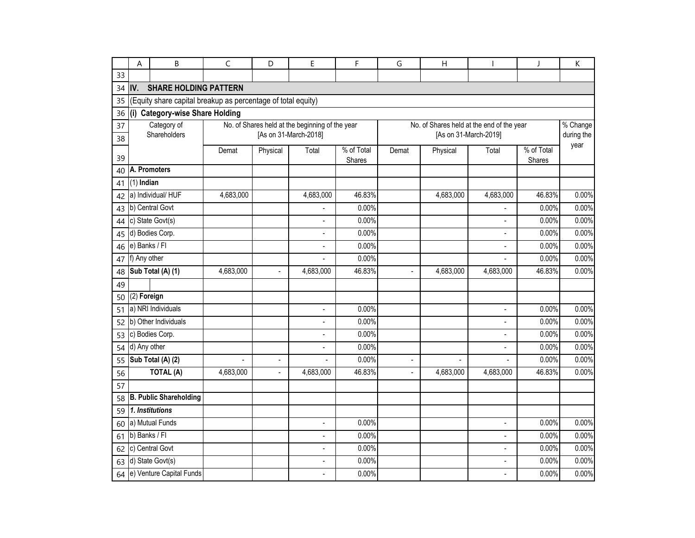|    | Α             | B                                                            | $\mathsf{C}$ | D                        | E                                               | F                    | G              | $\overline{H}$                            |                          | J                    | К                  |
|----|---------------|--------------------------------------------------------------|--------------|--------------------------|-------------------------------------------------|----------------------|----------------|-------------------------------------------|--------------------------|----------------------|--------------------|
| 33 |               |                                                              |              |                          |                                                 |                      |                |                                           |                          |                      |                    |
| 34 | IV.           | <b>SHARE HOLDING PATTERN</b>                                 |              |                          |                                                 |                      |                |                                           |                          |                      |                    |
| 35 |               | (Equity share capital breakup as percentage of total equity) |              |                          |                                                 |                      |                |                                           |                          |                      |                    |
| 36 |               | (i) Category-wise Share Holding                              |              |                          |                                                 |                      |                |                                           |                          |                      |                    |
| 37 |               | Category of                                                  |              |                          | No. of Shares held at the beginning of the year |                      |                | No. of Shares held at the end of the year |                          |                      | $%$ Change         |
| 38 |               | Shareholders                                                 |              |                          | [As on 31-March-2018]                           |                      |                |                                           | [As on 31-March-2019]    |                      | during the<br>year |
| 39 |               |                                                              | Demat        | Physical                 | Total                                           | % of Total<br>Shares | Demat          | Physical                                  | Total                    | % of Total<br>Shares |                    |
| 40 |               | A. Promoters                                                 |              |                          |                                                 |                      |                |                                           |                          |                      |                    |
| 41 | $(1)$ Indian  |                                                              |              |                          |                                                 |                      |                |                                           |                          |                      |                    |
| 42 |               | a) Individual/HUF                                            | 4,683,000    |                          | 4,683,000                                       | 46.83%               |                | 4,683,000                                 | 4,683,000                | 46.83%               | 0.00%              |
| 43 |               | b) Central Govt                                              |              |                          |                                                 | 0.00%                |                |                                           |                          | 0.00%                | 0.00%              |
| 44 |               | c) State Govt(s)                                             |              |                          |                                                 | 0.00%                |                |                                           |                          | 0.00%                | 0.00%              |
| 45 |               | d) Bodies Corp.                                              |              |                          | $\blacksquare$                                  | 0.00%                |                |                                           | $\overline{a}$           | 0.00%                | 0.00%              |
| 46 |               | e) Banks / Fl                                                |              |                          | $\overline{a}$                                  | 0.00%                |                |                                           | $\overline{a}$           | 0.00%                | 0.00%              |
| 47 | f) Any other  |                                                              |              |                          | $\mathbf{r}$                                    | 0.00%                |                |                                           | $\overline{a}$           | 0.00%                | 0.00%              |
| 48 |               | Sub Total $(A)$ (1)                                          | 4,683,000    |                          | 4,683,000                                       | 46.83%               |                | 4,683,000                                 | 4,683,000                | 46.83%               | 0.00%              |
| 49 |               |                                                              |              |                          |                                                 |                      |                |                                           |                          |                      |                    |
| 50 | (2) Foreign   |                                                              |              |                          |                                                 |                      |                |                                           |                          |                      |                    |
| 51 |               | a) NRI Individuals                                           |              |                          | $\blacksquare$                                  | 0.00%                |                |                                           | $\overline{\phantom{a}}$ | 0.00%                | 0.00%              |
| 52 |               | b) Other Individuals                                         |              |                          | $\overline{a}$                                  | 0.00%                |                |                                           | $\overline{a}$           | 0.00%                | 0.00%              |
| 53 |               | c) Bodies Corp.                                              |              |                          | ÷                                               | 0.00%                |                |                                           | ÷                        | 0.00%                | 0.00%              |
| 54 | d) Any other  |                                                              |              |                          | $\blacksquare$                                  | 0.00%                |                |                                           | $\blacksquare$           | 0.00%                | 0.00%              |
| 55 |               | Sub Total (A) (2)                                            | L            | $\overline{\phantom{a}}$ | $\overline{a}$                                  | 0.00%                | $\blacksquare$ |                                           |                          | 0.00%                | 0.00%              |
| 56 |               | TOTAL (A)                                                    | 4,683,000    | $\blacksquare$           | 4,683,000                                       | 46.83%               | $\blacksquare$ | 4,683,000                                 | 4,683,000                | 46.83%               | 0.00%              |
| 57 |               |                                                              |              |                          |                                                 |                      |                |                                           |                          |                      |                    |
| 58 |               | <b>B. Public Shareholding</b>                                |              |                          |                                                 |                      |                |                                           |                          |                      |                    |
| 59 |               | 1. Institutions                                              |              |                          |                                                 |                      |                |                                           |                          |                      |                    |
| 60 |               | a) Mutual Funds                                              |              |                          | $\mathbf{r}$                                    | 0.00%                |                |                                           | $\mathbf{r}$             | 0.00%                | 0.00%              |
| 61 | b) Banks / Fl |                                                              |              |                          |                                                 | 0.00%                |                |                                           | $\overline{a}$           | 0.00%                | 0.00%              |
| 62 |               | c) Central Govt                                              |              |                          | ÷,                                              | 0.00%                |                |                                           | $\overline{a}$           | 0.00%                | 0.00%              |
| 63 |               | d) State Govt(s)                                             |              |                          | ÷,                                              | 0.00%                |                |                                           | $\overline{a}$           | 0.00%                | 0.00%              |
| 64 |               | e) Venture Capital Funds                                     |              |                          |                                                 | 0.00%                |                |                                           | $\blacksquare$           | 0.00%                | 0.00%              |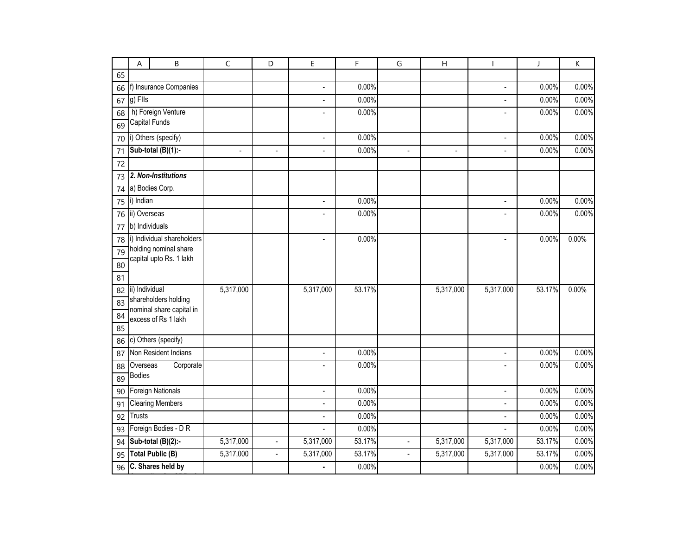|    | А              | B                                                | $\mathsf C$    | D              | E                        | F      | G              | $\overline{H}$ |                          | J      | K     |
|----|----------------|--------------------------------------------------|----------------|----------------|--------------------------|--------|----------------|----------------|--------------------------|--------|-------|
| 65 |                |                                                  |                |                |                          |        |                |                |                          |        |       |
| 66 |                | f) Insurance Companies                           |                |                | $\overline{\phantom{a}}$ | 0.00%  |                |                | $\blacksquare$           | 0.00%  | 0.00% |
| 67 | g) Fils        |                                                  |                |                | $\overline{\phantom{a}}$ | 0.00%  |                |                | $\overline{\phantom{a}}$ | 0.00%  | 0.00% |
| 68 |                | h) Foreign Venture                               |                |                |                          | 0.00%  |                |                |                          | 0.00%  | 0.00% |
| 69 | Capital Funds  |                                                  |                |                |                          |        |                |                |                          |        |       |
| 70 |                | i) Others (specify)                              |                |                | $\blacksquare$           | 0.00%  |                |                | $\overline{\phantom{a}}$ | 0.00%  | 0.00% |
| 71 |                | Sub-total (B)(1):-                               | $\blacksquare$ | ÷,             | $\blacksquare$           | 0.00%  | $\overline{a}$ | $\sim$         | $\overline{a}$           | 0.00%  | 0.00% |
| 72 |                |                                                  |                |                |                          |        |                |                |                          |        |       |
| 73 |                | 2. Non-Institutions                              |                |                |                          |        |                |                |                          |        |       |
| 74 |                | a) Bodies Corp.                                  |                |                |                          |        |                |                |                          |        |       |
| 75 | i) Indian      |                                                  |                |                | $\overline{a}$           | 0.00%  |                |                | $\blacksquare$           | 0.00%  | 0.00% |
| 76 | ii) Overseas   |                                                  |                |                | $\blacksquare$           | 0.00%  |                |                | $\overline{a}$           | 0.00%  | 0.00% |
| 77 | b) Individuals |                                                  |                |                |                          |        |                |                |                          |        |       |
| 78 |                | i) Individual shareholders                       |                |                | $\overline{a}$           | 0.00%  |                |                | $\overline{a}$           | 0.00%  | 0.00% |
| 79 |                | holding nominal share<br>capital upto Rs. 1 lakh |                |                |                          |        |                |                |                          |        |       |
| 80 |                |                                                  |                |                |                          |        |                |                |                          |        |       |
| 81 |                |                                                  |                |                |                          |        |                |                |                          |        |       |
| 82 | ii) Individual |                                                  | 5,317,000      |                | 5,317,000                | 53.17% |                | 5,317,000      | 5,317,000                | 53.17% | 0.00% |
| 83 |                | shareholders holding<br>nominal share capital in |                |                |                          |        |                |                |                          |        |       |
| 84 |                | excess of Rs 1 lakh                              |                |                |                          |        |                |                |                          |        |       |
| 85 |                |                                                  |                |                |                          |        |                |                |                          |        |       |
| 86 |                | c) Others (specify)                              |                |                |                          |        |                |                |                          |        |       |
| 87 |                | Non Resident Indians                             |                |                | $\blacksquare$           | 0.00%  |                |                | $\overline{\phantom{a}}$ | 0.00%  | 0.00% |
| 88 | Overseas       | Corporate                                        |                |                | ÷.                       | 0.00%  |                |                | $\overline{a}$           | 0.00%  | 0.00% |
| 89 | <b>Bodies</b>  |                                                  |                |                |                          |        |                |                |                          |        |       |
| 90 |                | <b>Foreign Nationals</b>                         |                |                | $\blacksquare$           | 0.00%  |                |                | $\overline{\phantom{0}}$ | 0.00%  | 0.00% |
| 91 |                | <b>Clearing Members</b>                          |                |                | $\overline{a}$           | 0.00%  |                |                | $\overline{a}$           | 0.00%  | 0.00% |
| 92 | <b>Trusts</b>  |                                                  |                |                | $\overline{\phantom{a}}$ | 0.00%  |                |                | $\overline{a}$           | 0.00%  | 0.00% |
| 93 |                | Foreign Bodies - D R                             |                |                | ÷.                       | 0.00%  |                |                | $\overline{a}$           | 0.00%  | 0.00% |
| 94 |                | Sub-total (B)(2):-                               | 5,317,000      | $\overline{a}$ | 5,317,000                | 53.17% |                | 5,317,000      | 5,317,000                | 53.17% | 0.00% |
| 95 |                | <b>Total Public (B)</b>                          | 5,317,000      | $\blacksquare$ | 5,317,000                | 53.17% | $\blacksquare$ | 5,317,000      | 5,317,000                | 53.17% | 0.00% |
| 96 |                | C. Shares held by                                |                |                |                          | 0.00%  |                |                |                          | 0.00%  | 0.00% |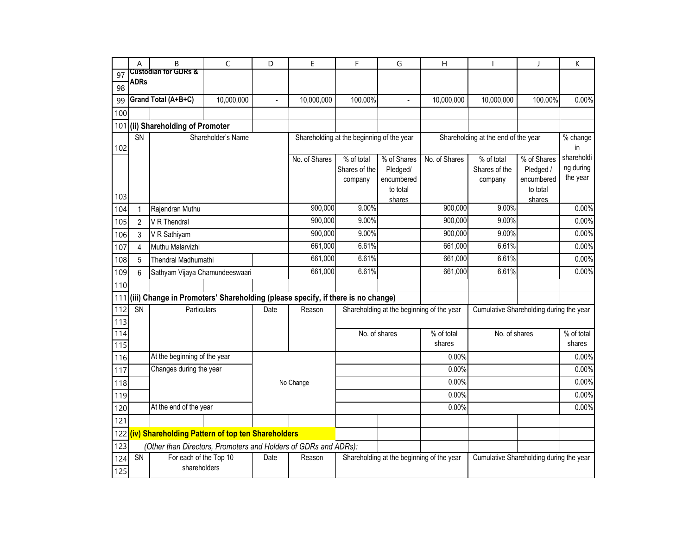| 100.00%<br>in<br>% of Shares<br>Pledged /<br>encumbered<br>to total<br>shares | 0.00%<br>Shareholding at the end of the year<br>% change<br>shareholdi<br>ng during<br>the year<br>0.00%<br>0.00%<br>0.00%<br>0.00%<br>0.00% |
|-------------------------------------------------------------------------------|----------------------------------------------------------------------------------------------------------------------------------------------|
|                                                                               |                                                                                                                                              |
|                                                                               |                                                                                                                                              |
|                                                                               |                                                                                                                                              |
|                                                                               |                                                                                                                                              |
|                                                                               |                                                                                                                                              |
|                                                                               |                                                                                                                                              |
|                                                                               |                                                                                                                                              |
|                                                                               |                                                                                                                                              |
|                                                                               |                                                                                                                                              |
|                                                                               |                                                                                                                                              |
|                                                                               |                                                                                                                                              |
|                                                                               |                                                                                                                                              |
|                                                                               |                                                                                                                                              |
|                                                                               |                                                                                                                                              |
|                                                                               |                                                                                                                                              |
|                                                                               |                                                                                                                                              |
|                                                                               | 0.00%                                                                                                                                        |
|                                                                               |                                                                                                                                              |
|                                                                               |                                                                                                                                              |
|                                                                               | Cumulative Shareholding during the year                                                                                                      |
|                                                                               |                                                                                                                                              |
|                                                                               | No. of shares<br>% of total                                                                                                                  |
|                                                                               | shares                                                                                                                                       |
|                                                                               | 0.00%                                                                                                                                        |
|                                                                               | 0.00%                                                                                                                                        |
|                                                                               | 0.00%                                                                                                                                        |
|                                                                               | 0.00%                                                                                                                                        |
|                                                                               | 0.00%                                                                                                                                        |
|                                                                               |                                                                                                                                              |
|                                                                               |                                                                                                                                              |
|                                                                               |                                                                                                                                              |
|                                                                               | Cumulative Shareholding during the year                                                                                                      |
|                                                                               |                                                                                                                                              |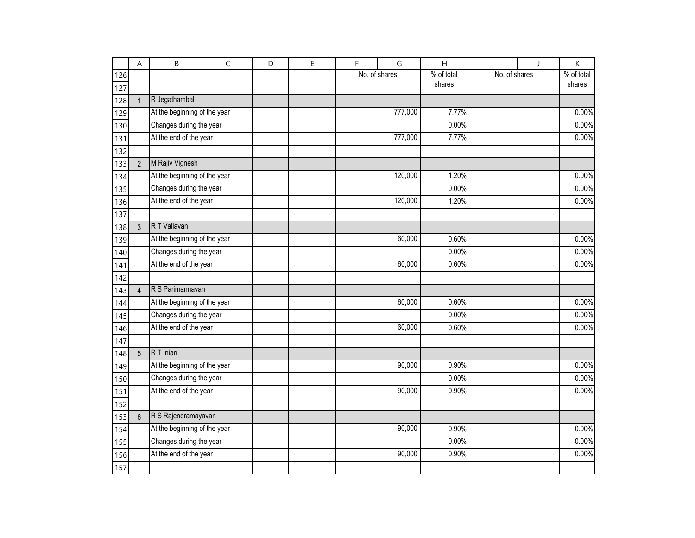|     | А              | B                            | C | D | E | F             | G       | H          |               | $\mathbf{I}$ | Κ          |
|-----|----------------|------------------------------|---|---|---|---------------|---------|------------|---------------|--------------|------------|
| 126 |                |                              |   |   |   | No. of shares |         | % of total | No. of shares |              | % of total |
| 127 |                |                              |   |   |   |               |         | shares     |               |              | shares     |
| 128 | $\mathbf{1}$   | R Jegathambal                |   |   |   |               |         |            |               |              |            |
| 129 |                | At the beginning of the year |   |   |   |               | 777,000 | 7.77%      |               |              | 0.00%      |
| 130 |                | Changes during the year      |   |   |   |               |         | 0.00%      |               |              | 0.00%      |
| 131 |                | At the end of the year       |   |   |   |               | 777,000 | 7.77%      |               |              | 0.00%      |
| 132 |                |                              |   |   |   |               |         |            |               |              |            |
| 133 | $\overline{2}$ | M Rajiv Vignesh              |   |   |   |               |         |            |               |              |            |
| 134 |                | At the beginning of the year |   |   |   |               | 120,000 | 1.20%      |               |              | 0.00%      |
| 135 |                | Changes during the year      |   |   |   |               |         | 0.00%      |               |              | 0.00%      |
| 136 |                | At the end of the year       |   |   |   |               | 120,000 | 1.20%      |               |              | 0.00%      |
| 137 |                |                              |   |   |   |               |         |            |               |              |            |
| 138 | 3              | R T Vallavan                 |   |   |   |               |         |            |               |              |            |
| 139 |                | At the beginning of the year |   |   |   |               | 60,000  | 0.60%      |               |              | 0.00%      |
| 140 |                | Changes during the year      |   |   |   |               |         | 0.00%      |               |              | 0.00%      |
| 141 |                | At the end of the year       |   |   |   |               | 60,000  | 0.60%      |               |              | 0.00%      |
| 142 |                |                              |   |   |   |               |         |            |               |              |            |
| 143 | $\overline{4}$ | R S Parimannavan             |   |   |   |               |         |            |               |              |            |
| 144 |                | At the beginning of the year |   |   |   |               | 60,000  | 0.60%      |               |              | 0.00%      |
| 145 |                | Changes during the year      |   |   |   |               |         | 0.00%      |               |              | 0.00%      |
| 146 |                | At the end of the year       |   |   |   |               | 60,000  | 0.60%      |               |              | 0.00%      |
| 147 |                |                              |   |   |   |               |         |            |               |              |            |
| 148 | 5              | $R$ T Inian                  |   |   |   |               |         |            |               |              |            |
| 149 |                | At the beginning of the year |   |   |   |               | 90,000  | 0.90%      |               |              | 0.00%      |
| 150 |                | Changes during the year      |   |   |   |               |         | 0.00%      |               |              | 0.00%      |
| 151 |                | At the end of the year       |   |   |   |               | 90,000  | 0.90%      |               |              | 0.00%      |
| 152 |                |                              |   |   |   |               |         |            |               |              |            |
| 153 | $6\phantom{1}$ | R S Rajendramayavan          |   |   |   |               |         |            |               |              |            |
| 154 |                | At the beginning of the year |   |   |   |               | 90,000  | 0.90%      |               |              | 0.00%      |
| 155 |                | Changes during the year      |   |   |   |               |         | 0.00%      |               |              | 0.00%      |
| 156 |                | At the end of the year       |   |   |   | 90,000        | 0.90%   |            |               | 0.00%        |            |
| 157 |                |                              |   |   |   |               |         |            |               |              |            |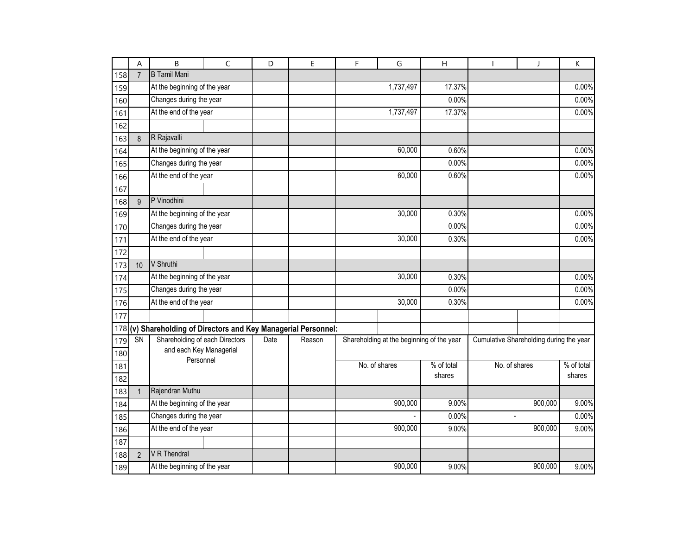|     | A              | B                                                               | $\mathsf{C}$ | D    | E      | F       | G                                         | H          |                                         | J                    | $\mathsf K$ |
|-----|----------------|-----------------------------------------------------------------|--------------|------|--------|---------|-------------------------------------------|------------|-----------------------------------------|----------------------|-------------|
| 158 | $\overline{7}$ | <b>B</b> Tamil Mani                                             |              |      |        |         |                                           |            |                                         |                      |             |
| 159 |                | At the beginning of the year                                    |              |      |        |         | 1,737,497                                 | 17.37%     |                                         |                      | 0.00%       |
| 160 |                | Changes during the year                                         |              |      |        |         |                                           | 0.00%      |                                         |                      | 0.00%       |
| 161 |                | At the end of the year                                          |              |      |        |         | 1,737,497                                 | 17.37%     |                                         |                      | 0.00%       |
| 162 |                |                                                                 |              |      |        |         |                                           |            |                                         |                      |             |
| 163 | 8              | R Rajavalli                                                     |              |      |        |         |                                           |            |                                         |                      |             |
| 164 |                | At the beginning of the year                                    |              |      |        |         | 60,000                                    | 0.60%      |                                         |                      | 0.00%       |
| 165 |                | Changes during the year                                         |              |      |        |         |                                           | 0.00%      |                                         |                      | 0.00%       |
| 166 |                | At the end of the year                                          |              |      |        |         | 60,000                                    | 0.60%      |                                         |                      | 0.00%       |
| 167 |                |                                                                 |              |      |        |         |                                           |            |                                         |                      |             |
| 168 | 9              | P Vinodhini                                                     |              |      |        |         |                                           |            |                                         |                      |             |
| 169 |                | At the beginning of the year                                    |              |      |        |         | 30,000                                    | 0.30%      |                                         |                      | 0.00%       |
| 170 |                | Changes during the year                                         |              |      |        |         |                                           | 0.00%      |                                         |                      | 0.00%       |
| 171 |                | At the end of the year                                          |              |      |        |         | 30,000                                    | 0.30%      |                                         |                      | 0.00%       |
| 172 |                |                                                                 |              |      |        |         |                                           |            |                                         |                      |             |
| 173 | 10             | V Shruthi                                                       |              |      |        |         |                                           |            |                                         |                      |             |
| 174 |                | At the beginning of the year                                    |              |      |        |         | 30,000                                    | 0.30%      |                                         |                      | 0.00%       |
| 175 |                | Changes during the year                                         |              |      |        |         |                                           | 0.00%      |                                         |                      | 0.00%       |
| 176 |                | At the end of the year                                          |              |      |        |         | 30,000                                    |            |                                         |                      | 0.00%       |
| 177 |                |                                                                 |              |      |        |         |                                           |            |                                         |                      |             |
|     |                | 178 (v) Shareholding of Directors and Key Managerial Personnel: |              |      |        |         |                                           |            |                                         |                      |             |
| 179 | SN             | Shareholding of each Directors                                  |              | Date | Reason |         | Shareholding at the beginning of the year |            | Cumulative Shareholding during the year |                      |             |
| 180 |                | and each Key Managerial                                         |              |      |        |         |                                           |            |                                         |                      |             |
| 181 |                | Personnel                                                       |              |      |        |         | No. of shares                             | % of total | No. of shares                           |                      | % of total  |
| 182 |                |                                                                 |              |      |        |         |                                           | shares     |                                         |                      | shares      |
| 183 | $\mathbf{1}$   | Rajendran Muthu                                                 |              |      |        |         |                                           |            |                                         |                      |             |
| 184 |                | At the beginning of the year                                    |              |      |        |         | 900,000                                   |            |                                         | 900,000              | 9.00%       |
| 185 |                | Changes during the year                                         |              |      |        |         |                                           | 0.00%      | $\overline{\phantom{a}}$                |                      | 0.00%       |
| 186 |                | At the end of the year                                          |              |      |        | 900,000 |                                           | 9.00%      |                                         | $\overline{900,000}$ | 9.00%       |
| 187 |                |                                                                 |              |      |        |         |                                           |            |                                         |                      |             |
| 188 | $\overline{2}$ | V R Thendral                                                    |              |      |        |         |                                           |            |                                         |                      |             |
| 189 |                | At the beginning of the year                                    |              |      |        |         | 900,000                                   | 9.00%      |                                         | 900,000              | 9.00%       |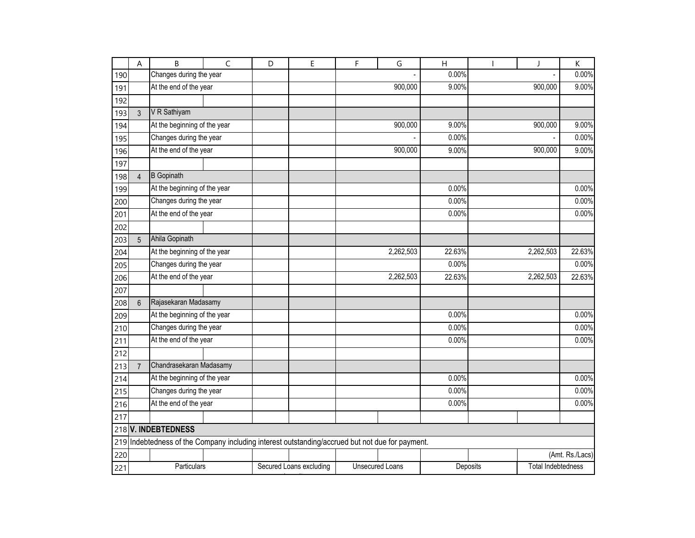|     | A                   | B                                                                                           | $\mathsf{C}$ | D | E                       | $\mathsf F$ | G                      | $\overline{H}$ |          | J                         | K               |
|-----|---------------------|---------------------------------------------------------------------------------------------|--------------|---|-------------------------|-------------|------------------------|----------------|----------|---------------------------|-----------------|
| 190 |                     | Changes during the year                                                                     |              |   |                         |             |                        | 0.00%          |          |                           | 0.00%           |
| 191 |                     | At the end of the year                                                                      |              |   |                         |             | 900,000                | 9.00%          |          | 900,000                   | 9.00%           |
| 192 |                     |                                                                                             |              |   |                         |             |                        |                |          |                           |                 |
| 193 | 3                   | V R Sathiyam                                                                                |              |   |                         |             |                        |                |          |                           |                 |
| 194 |                     | At the beginning of the year                                                                |              |   |                         |             | 900,000                | 9.00%          |          | 900,000                   | 9.00%           |
| 195 |                     | Changes during the year                                                                     |              |   |                         |             |                        | 0.00%          |          |                           | 0.00%           |
| 196 |                     | At the end of the year                                                                      |              |   |                         |             | 900,000                | 9.00%          |          | 900,000                   | 9.00%           |
| 197 |                     |                                                                                             |              |   |                         |             |                        |                |          |                           |                 |
| 198 | $\overline{4}$      | <b>B</b> Gopinath                                                                           |              |   |                         |             |                        |                |          |                           |                 |
| 199 |                     | At the beginning of the year                                                                |              |   |                         |             |                        | 0.00%          |          |                           | 0.00%           |
| 200 |                     | Changes during the year                                                                     |              |   |                         |             |                        | 0.00%          |          |                           | 0.00%           |
| 201 |                     | At the end of the year                                                                      |              |   |                         |             |                        | 0.00%          |          |                           | 0.00%           |
| 202 |                     |                                                                                             |              |   |                         |             |                        |                |          |                           |                 |
| 203 | 5                   | Ahila Gopinath                                                                              |              |   |                         |             |                        |                |          |                           |                 |
| 204 |                     | At the beginning of the year                                                                |              |   |                         |             | 2,262,503              | 22.63%         |          | 2,262,503                 | 22.63%          |
| 205 |                     | Changes during the year                                                                     |              |   |                         |             |                        | 0.00%          |          |                           | 0.00%           |
| 206 |                     | At the end of the year                                                                      |              |   |                         |             | 2,262,503              | 22.63%         |          | 2,262,503                 | 22.63%          |
| 207 |                     |                                                                                             |              |   |                         |             |                        |                |          |                           |                 |
| 208 | 6                   | Rajasekaran Madasamy                                                                        |              |   |                         |             |                        |                |          |                           |                 |
| 209 |                     | At the beginning of the year                                                                |              |   |                         |             |                        | 0.00%          |          |                           | 0.00%           |
| 210 |                     | Changes during the year                                                                     |              |   |                         |             |                        | 0.00%          |          |                           | 0.00%           |
| 211 |                     | At the end of the year                                                                      |              |   |                         |             |                        | 0.00%          |          |                           | 0.00%           |
| 212 |                     |                                                                                             |              |   |                         |             |                        |                |          |                           |                 |
| 213 | $\overline{7}$      | Chandrasekaran Madasamy                                                                     |              |   |                         |             |                        |                |          |                           |                 |
| 214 |                     | At the beginning of the year                                                                |              |   |                         |             |                        | 0.00%          |          |                           | 0.00%           |
| 215 |                     | Changes during the year                                                                     |              |   |                         |             |                        | 0.00%          |          |                           | 0.00%           |
| 216 |                     | At the end of the year                                                                      |              |   |                         |             |                        | 0.00%          |          |                           | 0.00%           |
| 217 |                     |                                                                                             |              |   |                         |             |                        |                |          |                           |                 |
|     | 218 V. INDEBTEDNESS |                                                                                             |              |   |                         |             |                        |                |          |                           |                 |
| 219 |                     | Indebtedness of the Company including interest outstanding/accrued but not due for payment. |              |   |                         |             |                        |                |          |                           |                 |
| 220 |                     |                                                                                             |              |   |                         |             |                        |                |          |                           | (Amt. Rs./Lacs) |
| 221 |                     | Particulars                                                                                 |              |   | Secured Loans excluding |             | <b>Unsecured Loans</b> |                | Deposits | <b>Total Indebtedness</b> |                 |
|     |                     |                                                                                             |              |   |                         |             |                        |                |          |                           |                 |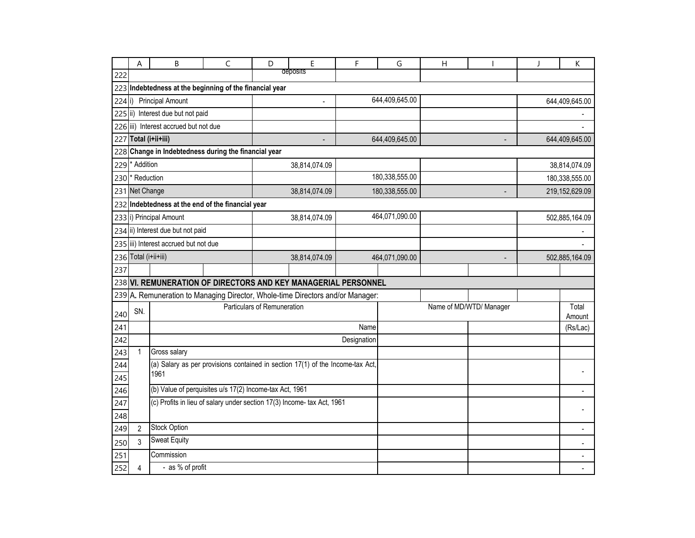|          | A                          | B                                                                              | C | D                           | E             | F           | G              | Η                       |                 | J | K                        |
|----------|----------------------------|--------------------------------------------------------------------------------|---|-----------------------------|---------------|-------------|----------------|-------------------------|-----------------|---|--------------------------|
| 222      |                            |                                                                                |   |                             | deposits      |             |                |                         |                 |   |                          |
|          |                            | 223 Indebtedness at the beginning of the financial year                        |   |                             |               |             |                |                         |                 |   |                          |
| $224$ i) |                            | <b>Principal Amount</b>                                                        |   |                             |               |             | 644,409,645.00 |                         |                 |   | 644,409,645.00           |
|          |                            | 225 ii) Interest due but not paid                                              |   |                             |               |             |                |                         |                 |   |                          |
|          |                            | 226 iii) Interest accrued but not due                                          |   |                             |               |             |                |                         |                 |   |                          |
|          | 227 Total (i+ii+iii)       |                                                                                |   |                             |               |             | 644,409,645.00 |                         |                 |   | 644,409,645.00           |
|          |                            | 228 Change in Indebtedness during the financial year                           |   |                             |               |             |                |                         |                 |   |                          |
| 229      | * Addition                 |                                                                                |   |                             | 38,814,074.09 |             |                |                         |                 |   | 38,814,074.09            |
|          | 230 <sup>*</sup> Reduction |                                                                                |   |                             |               |             | 180,338,555.00 |                         |                 |   | 180,338,555.00           |
|          | 231 Net Change             |                                                                                |   |                             | 38,814,074.09 |             | 180,338,555.00 |                         |                 |   | 219,152,629.09           |
| 232      |                            | Indebtedness at the end of the financial year                                  |   |                             |               |             |                |                         |                 |   |                          |
|          |                            | 233 i) Principal Amount                                                        |   |                             | 38,814,074.09 |             | 464,071,090.00 |                         |                 |   | 502,885,164.09           |
|          |                            | 234 ii) Interest due but not paid                                              |   |                             |               |             |                |                         |                 |   |                          |
|          |                            | 235 iii) Interest accrued but not due                                          |   |                             |               |             |                |                         |                 |   |                          |
|          | 236 Total (i+ii+iii)       |                                                                                |   |                             | 38,814,074.09 |             | 464,071,090.00 |                         |                 |   | 502,885,164.09           |
| 237      |                            |                                                                                |   |                             |               |             |                |                         |                 |   |                          |
|          |                            | 238 VI. REMUNERATION OF DIRECTORS AND KEY MANAGERIAL PERSONNEL                 |   |                             |               |             |                |                         |                 |   |                          |
|          |                            | 239 A. Remuneration to Managing Director, Whole-time Directors and/or Manager: |   |                             |               |             |                |                         |                 |   |                          |
| 240      | SN.                        |                                                                                |   | Particulars of Remuneration |               |             |                | Name of MD/WTD/ Manager | Total<br>Amount |   |                          |
| 241      |                            |                                                                                |   |                             |               | Name        |                |                         |                 |   | (Rs/Lac)                 |
| 242      |                            |                                                                                |   |                             |               | Designation |                |                         |                 |   |                          |
| 243      | 1                          | Gross salary                                                                   |   |                             |               |             |                |                         |                 |   |                          |
| 244      |                            | (a) Salary as per provisions contained in section 17(1) of the Income-tax Act, |   |                             |               |             |                |                         |                 |   |                          |
| 245      |                            | 1961                                                                           |   |                             |               |             |                |                         |                 |   |                          |
| 246      |                            | (b) Value of perquisites u/s 17(2) Income-tax Act, 1961                        |   |                             |               |             |                |                         |                 |   |                          |
| 247      |                            | (c) Profits in lieu of salary under section 17(3) Income- tax Act, 1961        |   |                             |               |             |                |                         |                 |   |                          |
| 248      |                            |                                                                                |   |                             |               |             |                |                         |                 |   |                          |
| 249      | $\overline{2}$             | <b>Stock Option</b>                                                            |   |                             |               |             |                |                         |                 |   |                          |
| 250      | 3                          | <b>Sweat Equity</b>                                                            |   |                             |               |             |                |                         |                 |   | $\blacksquare$           |
| 251      |                            | Commission                                                                     |   |                             |               |             |                |                         |                 |   | $\overline{\phantom{a}}$ |
| 252      | 4                          | - as % of profit                                                               |   |                             |               |             |                |                         |                 |   |                          |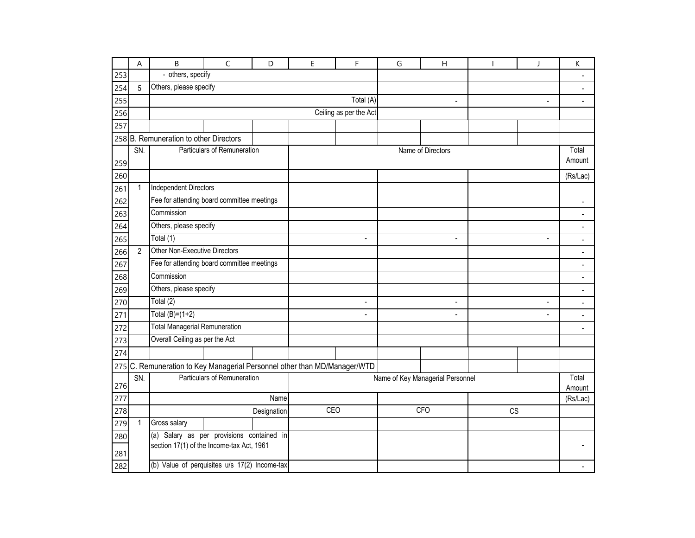|     | A              | B                                                                                                                                                                                                                                                                                                                                                                                                                                                                                                                                                                                                                                                                                                                                                                                                                                                           | $\mathsf{C}$ | D           | E   | F | G | $\overline{H}$ |           | J | К                        |
|-----|----------------|-------------------------------------------------------------------------------------------------------------------------------------------------------------------------------------------------------------------------------------------------------------------------------------------------------------------------------------------------------------------------------------------------------------------------------------------------------------------------------------------------------------------------------------------------------------------------------------------------------------------------------------------------------------------------------------------------------------------------------------------------------------------------------------------------------------------------------------------------------------|--------------|-------------|-----|---|---|----------------|-----------|---|--------------------------|
| 253 |                |                                                                                                                                                                                                                                                                                                                                                                                                                                                                                                                                                                                                                                                                                                                                                                                                                                                             |              |             |     |   |   |                |           |   |                          |
| 254 | 5              | - others, specify<br>Others, please specify<br>Total (A)<br>$\overline{\phantom{a}}$<br>٠<br>Ceiling as per the Act<br>258 B. Remuneration to other Directors<br>Particulars of Remuneration<br>Name of Directors<br><b>Independent Directors</b><br>Fee for attending board committee meetings<br>Others, please specify<br>$\overline{a}$<br>$\blacksquare$<br>$\overline{a}$<br>Other Non-Executive Directors<br>Fee for attending board committee meetings<br>Others, please specify<br>$\overline{a}$<br>$\blacksquare$<br>$\overline{a}$<br>Total $(B)=(1+2)$<br>$\blacksquare$<br>$\overline{a}$<br>$\overline{a}$<br><b>Total Managerial Remuneration</b><br>Overall Ceiling as per the Act<br>275 C. Remuneration to Key Managerial Personnel other than MD/Manager/WTD<br>Particulars of Remuneration<br>Name of Key Managerial Personnel<br>Name |              |             |     |   |   | $\blacksquare$ |           |   |                          |
| 255 |                |                                                                                                                                                                                                                                                                                                                                                                                                                                                                                                                                                                                                                                                                                                                                                                                                                                                             |              |             |     |   |   |                |           |   |                          |
| 256 |                |                                                                                                                                                                                                                                                                                                                                                                                                                                                                                                                                                                                                                                                                                                                                                                                                                                                             |              |             |     |   |   |                |           |   |                          |
| 257 |                |                                                                                                                                                                                                                                                                                                                                                                                                                                                                                                                                                                                                                                                                                                                                                                                                                                                             |              |             |     |   |   |                |           |   |                          |
|     |                |                                                                                                                                                                                                                                                                                                                                                                                                                                                                                                                                                                                                                                                                                                                                                                                                                                                             |              |             |     |   |   |                |           |   |                          |
| 259 | SN.            |                                                                                                                                                                                                                                                                                                                                                                                                                                                                                                                                                                                                                                                                                                                                                                                                                                                             |              |             |     |   |   |                |           |   | Total<br>Amount          |
| 260 |                |                                                                                                                                                                                                                                                                                                                                                                                                                                                                                                                                                                                                                                                                                                                                                                                                                                                             |              |             |     |   |   |                |           |   | (Rs/Lac)                 |
| 261 | $\mathbf{1}$   |                                                                                                                                                                                                                                                                                                                                                                                                                                                                                                                                                                                                                                                                                                                                                                                                                                                             |              |             |     |   |   |                |           |   |                          |
| 262 |                |                                                                                                                                                                                                                                                                                                                                                                                                                                                                                                                                                                                                                                                                                                                                                                                                                                                             |              |             |     |   |   |                |           |   |                          |
| 263 |                | Commission                                                                                                                                                                                                                                                                                                                                                                                                                                                                                                                                                                                                                                                                                                                                                                                                                                                  |              |             |     |   |   |                |           |   |                          |
| 264 |                |                                                                                                                                                                                                                                                                                                                                                                                                                                                                                                                                                                                                                                                                                                                                                                                                                                                             |              |             |     |   |   |                |           |   |                          |
| 265 |                | Total (1)                                                                                                                                                                                                                                                                                                                                                                                                                                                                                                                                                                                                                                                                                                                                                                                                                                                   |              |             |     |   |   |                |           |   | $\blacksquare$           |
| 266 | $\overline{2}$ |                                                                                                                                                                                                                                                                                                                                                                                                                                                                                                                                                                                                                                                                                                                                                                                                                                                             |              |             |     |   |   |                |           |   |                          |
| 267 |                |                                                                                                                                                                                                                                                                                                                                                                                                                                                                                                                                                                                                                                                                                                                                                                                                                                                             |              |             |     |   |   |                |           |   |                          |
| 268 |                | Commission                                                                                                                                                                                                                                                                                                                                                                                                                                                                                                                                                                                                                                                                                                                                                                                                                                                  |              |             |     |   |   |                |           |   | $\overline{a}$           |
| 269 |                |                                                                                                                                                                                                                                                                                                                                                                                                                                                                                                                                                                                                                                                                                                                                                                                                                                                             |              |             |     |   |   |                |           |   | $\overline{\phantom{a}}$ |
| 270 |                | Total (2)                                                                                                                                                                                                                                                                                                                                                                                                                                                                                                                                                                                                                                                                                                                                                                                                                                                   |              |             |     |   |   |                |           |   | $\overline{\phantom{a}}$ |
| 271 |                |                                                                                                                                                                                                                                                                                                                                                                                                                                                                                                                                                                                                                                                                                                                                                                                                                                                             |              |             |     |   |   |                |           |   |                          |
| 272 |                |                                                                                                                                                                                                                                                                                                                                                                                                                                                                                                                                                                                                                                                                                                                                                                                                                                                             |              |             |     |   |   |                |           |   | $\blacksquare$           |
| 273 |                |                                                                                                                                                                                                                                                                                                                                                                                                                                                                                                                                                                                                                                                                                                                                                                                                                                                             |              |             |     |   |   |                |           |   |                          |
| 274 |                |                                                                                                                                                                                                                                                                                                                                                                                                                                                                                                                                                                                                                                                                                                                                                                                                                                                             |              |             |     |   |   |                |           |   |                          |
|     |                |                                                                                                                                                                                                                                                                                                                                                                                                                                                                                                                                                                                                                                                                                                                                                                                                                                                             |              |             |     |   |   |                |           |   |                          |
| 276 | SN.            |                                                                                                                                                                                                                                                                                                                                                                                                                                                                                                                                                                                                                                                                                                                                                                                                                                                             |              |             |     |   |   |                |           |   | Total<br>Amount          |
| 277 |                |                                                                                                                                                                                                                                                                                                                                                                                                                                                                                                                                                                                                                                                                                                                                                                                                                                                             |              |             |     |   |   |                |           |   | (Rs/Lac)                 |
| 278 |                |                                                                                                                                                                                                                                                                                                                                                                                                                                                                                                                                                                                                                                                                                                                                                                                                                                                             |              | Designation | CEO |   |   | <b>CFO</b>     | <b>CS</b> |   |                          |
| 279 | $\mathbf{1}$   | Gross salary                                                                                                                                                                                                                                                                                                                                                                                                                                                                                                                                                                                                                                                                                                                                                                                                                                                |              |             |     |   |   |                |           |   |                          |
| 280 |                | (a) Salary as per provisions contained in                                                                                                                                                                                                                                                                                                                                                                                                                                                                                                                                                                                                                                                                                                                                                                                                                   |              |             |     |   |   |                |           |   |                          |
| 281 |                | section 17(1) of the Income-tax Act, 1961                                                                                                                                                                                                                                                                                                                                                                                                                                                                                                                                                                                                                                                                                                                                                                                                                   |              |             |     |   |   |                |           |   |                          |
| 282 |                | (b) Value of perquisites u/s 17(2) Income-tax                                                                                                                                                                                                                                                                                                                                                                                                                                                                                                                                                                                                                                                                                                                                                                                                               |              |             |     |   |   |                |           |   |                          |